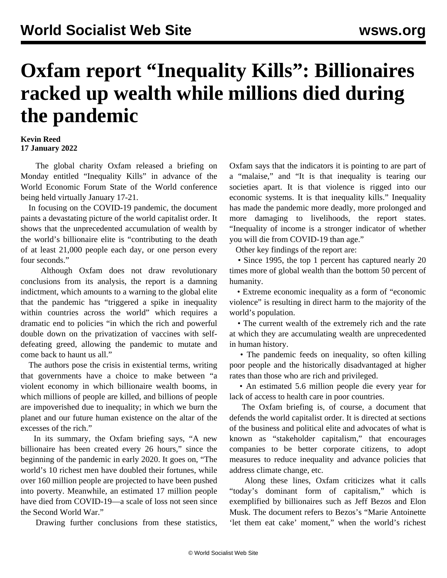## **Oxfam report "Inequality Kills": Billionaires racked up wealth while millions died during the pandemic**

## **Kevin Reed 17 January 2022**

 The global charity Oxfam released a briefing on Monday entitled "Inequality Kills" in advance of the World Economic Forum State of the World conference being held virtually January 17-21.

 In focusing on the COVID-19 pandemic, the document paints a devastating picture of the world capitalist order. It shows that the unprecedented accumulation of wealth by the world's billionaire elite is "contributing to the death of at least 21,000 people each day, or one person every four seconds."

 Although Oxfam does not draw revolutionary conclusions from its analysis, the report is a damning indictment, which amounts to a warning to the global elite that the pandemic has "triggered a spike in inequality within countries across the world" which requires a dramatic end to policies "in which the rich and powerful double down on the privatization of vaccines with selfdefeating greed, allowing the pandemic to mutate and come back to haunt us all."

 The authors pose the crisis in existential terms, writing that governments have a choice to make between "a violent economy in which billionaire wealth booms, in which millions of people are killed, and billions of people are impoverished due to inequality; in which we burn the planet and our future human existence on the altar of the excesses of the rich."

 In its summary, the Oxfam briefing says, "A new billionaire has been created every 26 hours," since the beginning of the pandemic in early 2020. It goes on, "The world's 10 richest men have doubled their fortunes, while over 160 million people are projected to have been pushed into poverty. Meanwhile, an estimated 17 million people have died from COVID-19—a scale of loss not seen since the Second World War."

Drawing further conclusions from these statistics,

Oxfam says that the indicators it is pointing to are part of a "malaise," and "It is that inequality is tearing our societies apart. It is that violence is rigged into our economic systems. It is that inequality kills." Inequality has made the pandemic more deadly, more prolonged and more damaging to livelihoods, the report states. "Inequality of income is a stronger indicator of whether you will die from COVID-19 than age."

Other key findings of the report are:

 • Since 1995, the top 1 percent has captured nearly 20 times more of global wealth than the bottom 50 percent of humanity.

 • Extreme economic inequality as a form of "economic violence" is resulting in direct harm to the majority of the world's population.

 • The current wealth of the extremely rich and the rate at which they are accumulating wealth are unprecedented in human history.

• The pandemic feeds on inequality, so often killing poor people and the historically disadvantaged at higher rates than those who are rich and privileged.

 • An estimated 5.6 million people die every year for lack of access to health care in poor countries.

 The Oxfam briefing is, of course, a document that defends the world capitalist order. It is directed at sections of the business and political elite and advocates of what is known as "stakeholder capitalism," that encourages companies to be better corporate citizens, to adopt measures to reduce inequality and advance policies that address climate change, etc.

 Along these lines, Oxfam criticizes what it calls "today's dominant form of capitalism," which is exemplified by billionaires such as Jeff Bezos and Elon Musk. The document refers to Bezos's "Marie Antoinette 'let them eat cake' moment," when the world's richest